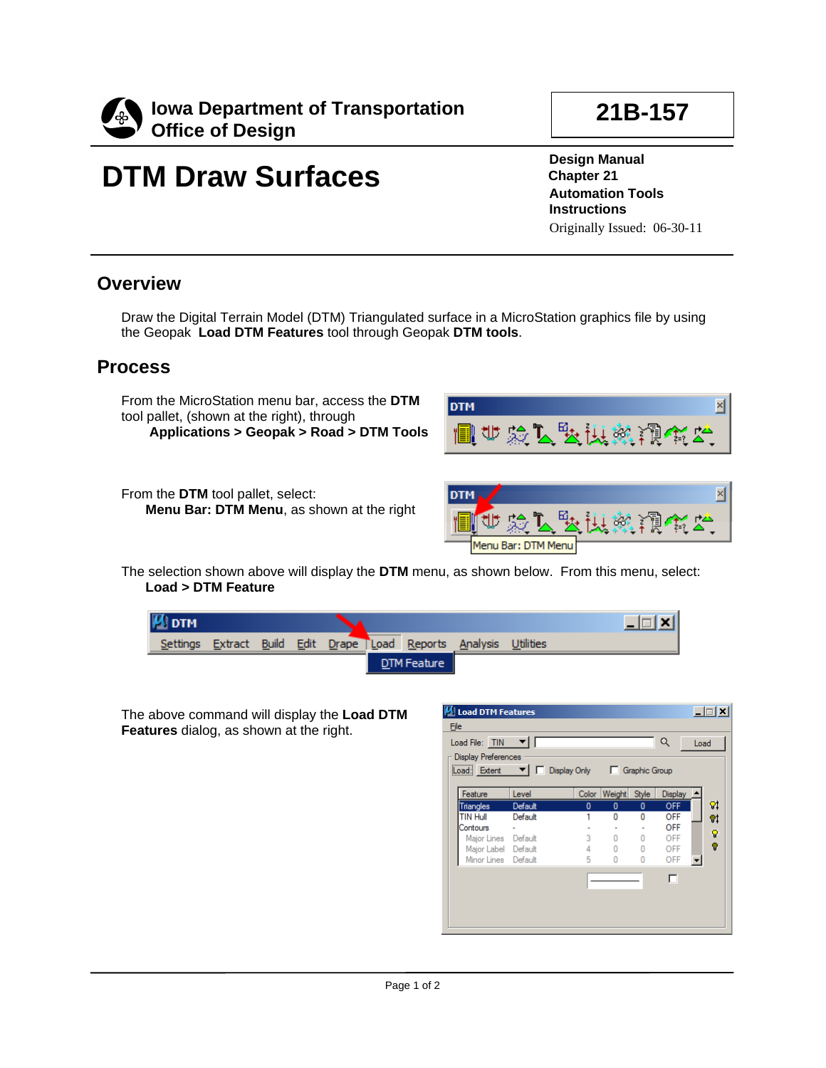

### **21B-157**

# **DTM Draw Surfaces**

**Design Manual Chapter 21 Automation Tools Instructions** Originally Issued: 06-30-11

#### **Overview**

Draw the Digital Terrain Model (DTM) Triangulated surface in a MicroStation graphics file by using the Geopak **Load DTM Features** tool through Geopak **DTM tools**.

#### **Process**

From the MicroStation menu bar, access the **DTM**  tool pallet, (shown at the right), through

**Applications > Geopak > Road > DTM Tools**

From the **DTM** tool pallet, select: **Menu Bar: DTM Menu**, as shown at the right





The selection shown above will display the **DTM** menu, as shown below. From this menu, select: **Load > DTM Feature**

| $\mathbf{\mu}$ DTM |                    |  |             |                                       |  | $\overline{a}$ |
|--------------------|--------------------|--|-------------|---------------------------------------|--|----------------|
| Settings           | Extract Build Edit |  |             | Drape Load Reports Analysis Utilities |  |                |
|                    |                    |  | DTM Feature |                                       |  |                |

The above command will display the **Load DTM Features** dialog, as shown at the right.

| <b>M</b> Load DTM Features                                                |         |       |          |       |                |    |  |  |  |  |
|---------------------------------------------------------------------------|---------|-------|----------|-------|----------------|----|--|--|--|--|
| Eile                                                                      |         |       |          |       |                |    |  |  |  |  |
| Load File: TIN                                                            | Q       | Load  |          |       |                |    |  |  |  |  |
| <b>Display Preferences</b>                                                |         |       |          |       |                |    |  |  |  |  |
| Load: Extent $\blacktriangledown$   $\Box$ Display Only     Graphic Group |         |       |          |       |                |    |  |  |  |  |
|                                                                           |         |       |          |       |                |    |  |  |  |  |
| Feature                                                                   | Level   | Color | Weight   | Style | <b>Display</b> |    |  |  |  |  |
| <b>Triangles</b>                                                          | Default | 0     | $\bf{0}$ | 0     | <b>OFF</b>     | 8ţ |  |  |  |  |
| <b>TIN Hull</b>                                                           | Default |       | n        | n     | <b>OFF</b>     | 9ļ |  |  |  |  |
| Contours                                                                  |         |       |          |       | <b>OFF</b>     |    |  |  |  |  |
| Major Lines Default                                                       |         | 3     | 0        | 0     | OFF            | ଡ଼ |  |  |  |  |
| Major Label Default                                                       |         | 4     | 0        | 0     | OFF            | Ÿ  |  |  |  |  |
| Minor Lines Default                                                       |         | 5     | n        | n     | OFF            |    |  |  |  |  |
|                                                                           |         |       |          |       |                |    |  |  |  |  |
|                                                                           |         |       |          |       |                |    |  |  |  |  |
|                                                                           |         |       |          |       |                |    |  |  |  |  |
|                                                                           |         |       |          |       |                |    |  |  |  |  |
|                                                                           |         |       |          |       |                |    |  |  |  |  |
|                                                                           |         |       |          |       |                |    |  |  |  |  |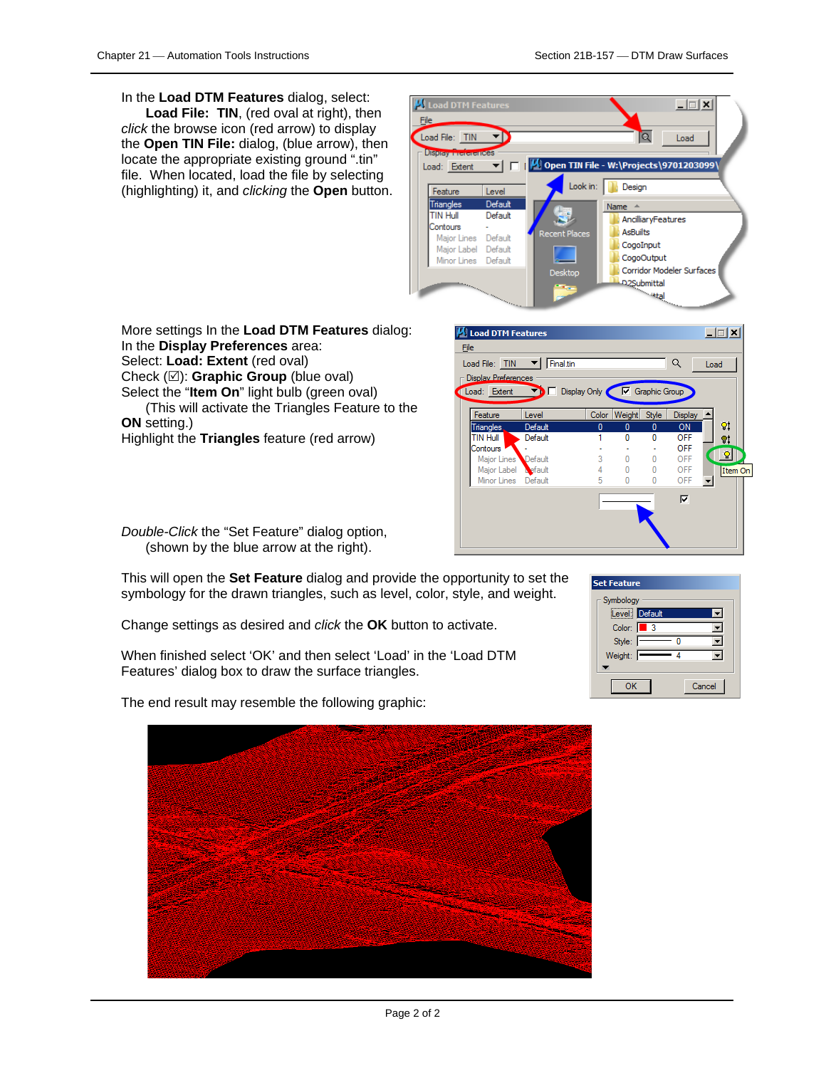In the **Load DTM Features** dialog, select:

**Load File: TIN**, (red oval at right), then *click* the browse icon (red arrow) to display the **Open TIN File:** dialog, (blue arrow), then locate the appropriate existing ground ".tin" file. When located, load the file by selecting (highlighting) it, and *clicking* the **Open** button.



In the **Display Preferences** area: Select: **Load: Extent** (red oval) Check ( $\boxtimes$ ): **Graphic Group** (blue oval)

More settings In the **Load DTM Features** dialog:

Select the "**Item On**" light bulb (green oval)

(This will activate the Triangles Feature to the **ON** setting.)

Highlight the **Triangles** feature (red arrow)

*Double-Click* the "Set Feature" dialog option, (shown by the blue arrow at the right).

This will open the **Set Feature** dialog and provide the opportunity to set the symbology for the drawn triangles, such as level, color, style, and weight.

Change settings as desired and *click* the **OK** button to activate.

When finished select 'OK' and then select 'Load' in the 'Load DTM Features' dialog box to draw the surface triangles.



The end result may resemble the following graphic: